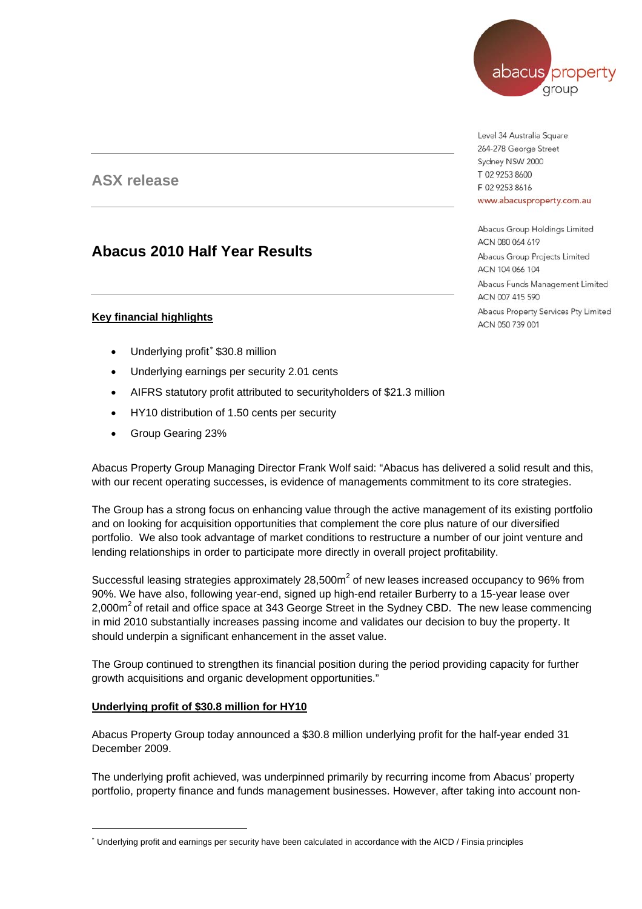# abacus property arour

**ASX release** 

# **Abacus 2010 Half Year Results**

# **Key financial highlights**

- Underlying profit[∗](#page-0-0) \$30.8 million
- Underlying earnings per security 2.01 cents
- AIFRS statutory profit attributed to securityholders of \$21.3 million
- HY10 distribution of 1.50 cents per security
- Group Gearing 23%

Abacus Property Group Managing Director Frank Wolf said: "Abacus has delivered a solid result and this, with our recent operating successes, is evidence of managements commitment to its core strategies.

The Group has a strong focus on enhancing value through the active management of its existing portfolio and on looking for acquisition opportunities that complement the core plus nature of our diversified portfolio. We also took advantage of market conditions to restructure a number of our joint venture and lending relationships in order to participate more directly in overall project profitability.

Successful leasing strategies approximately 28,500 $m<sup>2</sup>$  of new leases increased occupancy to 96% from 90%. We have also, following year-end, signed up high-end retailer Burberry to a 15-year lease over 2,000m<sup>2</sup> of retail and office space at 343 George Street in the Sydney CBD. The new lease commencing in mid 2010 substantially increases passing income and validates our decision to buy the property. It should underpin a significant enhancement in the asset value.

The Group continued to strengthen its financial position during the period providing capacity for further growth acquisitions and organic development opportunities."

## **Underlying profit of \$30.8 million for HY10**

 $\overline{a}$ 

Abacus Property Group today announced a \$30.8 million underlying profit for the half-year ended 31 December 2009.

The underlying profit achieved, was underpinned primarily by recurring income from Abacus' property portfolio, property finance and funds management businesses. However, after taking into account non-

Level 34 Australia Square 264-278 George Street Sydney NSW 2000 T 02 9253 8600 F 02 9253 8616 www.abacusproperty.com.au

Abacus Group Holdings Limited ACN 080 064 619 Abacus Group Projects Limited ACN 104 066 104 Abacus Funds Management Limited ACN 007 415 590 Abacus Property Services Pty Limited ACN 050 739 001

<span id="page-0-0"></span><sup>∗</sup> Underlying profit and earnings per security have been calculated in accordance with the AICD / Finsia principles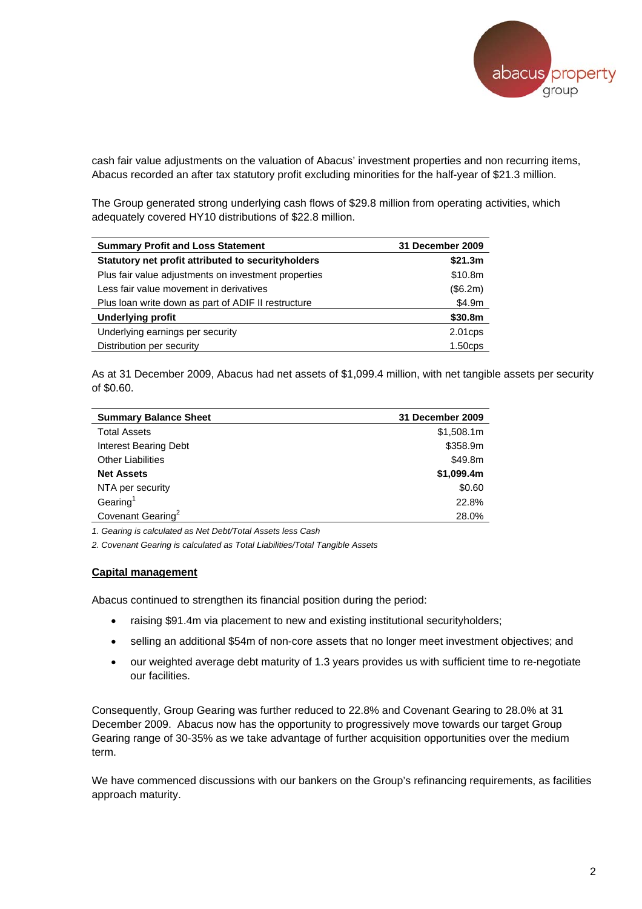

cash fair value adjustments on the valuation of Abacus' investment properties and non recurring items, Abacus recorded an after tax statutory profit excluding minorities for the half-year of \$21.3 million.

The Group generated strong underlying cash flows of \$29.8 million from operating activities, which adequately covered HY10 distributions of \$22.8 million.

| <b>Summary Profit and Loss Statement</b>             | 31 December 2009 |
|------------------------------------------------------|------------------|
| Statutory net profit attributed to security holders  | \$21.3m          |
| Plus fair value adjustments on investment properties | \$10.8m          |
| Less fair value movement in derivatives              | (\$6.2m)         |
| Plus loan write down as part of ADIF II restructure  | \$4.9m           |
| <b>Underlying profit</b>                             | \$30.8m          |
| Underlying earnings per security                     | $2.01$ cps       |
| Distribution per security                            | $1.50$ cps       |

As at 31 December 2009, Abacus had net assets of \$1,099.4 million, with net tangible assets per security of \$0.60.

| <b>Summary Balance Sheet</b>  | 31 December 2009 |
|-------------------------------|------------------|
| <b>Total Assets</b>           | \$1,508.1m       |
| <b>Interest Bearing Debt</b>  | \$358.9m         |
| <b>Other Liabilities</b>      | \$49.8m          |
| <b>Net Assets</b>             | \$1,099.4m       |
| NTA per security              | \$0.60           |
| Gearing <sup>1</sup>          | 22.8%            |
| Covenant Gearing <sup>2</sup> | 28.0%            |

*1. Gearing is calculated as Net Debt/Total Assets less Cash* 

*2. Covenant Gearing is calculated as Total Liabilities/Total Tangible Assets* 

#### **Capital management**

Abacus continued to strengthen its financial position during the period:

- raising \$91.4m via placement to new and existing institutional securityholders;
- selling an additional \$54m of non-core assets that no longer meet investment objectives; and
- our weighted average debt maturity of 1.3 years provides us with sufficient time to re-negotiate our facilities.

Consequently, Group Gearing was further reduced to 22.8% and Covenant Gearing to 28.0% at 31 December 2009. Abacus now has the opportunity to progressively move towards our target Group Gearing range of 30-35% as we take advantage of further acquisition opportunities over the medium term.

We have commenced discussions with our bankers on the Group's refinancing requirements, as facilities approach maturity.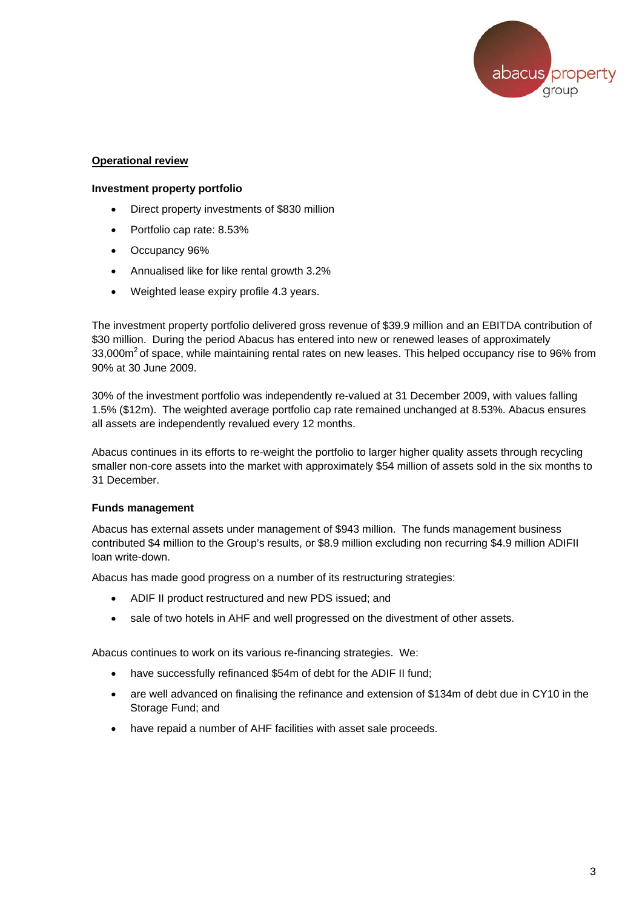

## **Operational review**

#### **Investment property portfolio**

- Direct property investments of \$830 million
- Portfolio cap rate: 8.53%
- Occupancy 96%
- Annualised like for like rental growth 3.2%
- Weighted lease expiry profile 4.3 years.

The investment property portfolio delivered gross revenue of \$39.9 million and an EBITDA contribution of \$30 million. During the period Abacus has entered into new or renewed leases of approximately 33,000 $\text{m}^2$  of space, while maintaining rental rates on new leases. This helped occupancy rise to 96% from 90% at 30 June 2009.

30% of the investment portfolio was independently re-valued at 31 December 2009, with values falling 1.5% (\$12m). The weighted average portfolio cap rate remained unchanged at 8.53%. Abacus ensures all assets are independently revalued every 12 months.

Abacus continues in its efforts to re-weight the portfolio to larger higher quality assets through recycling smaller non-core assets into the market with approximately \$54 million of assets sold in the six months to 31 December.

## **Funds management**

Abacus has external assets under management of \$943 million. The funds management business contributed \$4 million to the Group's results, or \$8.9 million excluding non recurring \$4.9 million ADIFII loan write-down.

Abacus has made good progress on a number of its restructuring strategies:

- ADIF II product restructured and new PDS issued; and
- sale of two hotels in AHF and well progressed on the divestment of other assets.

Abacus continues to work on its various re-financing strategies. We:

- have successfully refinanced \$54m of debt for the ADIF II fund;
- are well advanced on finalising the refinance and extension of \$134m of debt due in CY10 in the Storage Fund; and
- have repaid a number of AHF facilities with asset sale proceeds.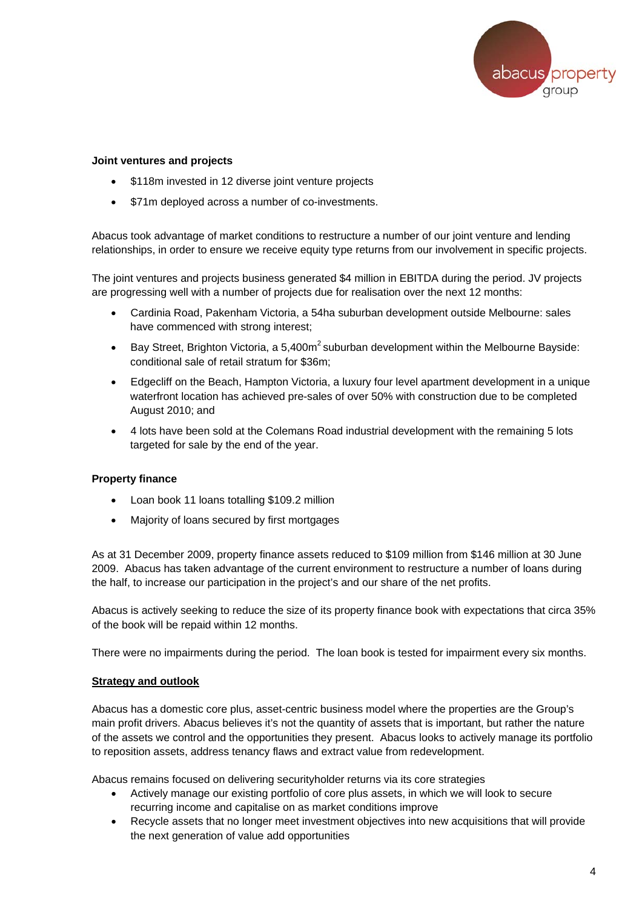

#### **Joint ventures and projects**

- \$118m invested in 12 diverse joint venture projects
- \$71m deployed across a number of co-investments.

Abacus took advantage of market conditions to restructure a number of our joint venture and lending relationships, in order to ensure we receive equity type returns from our involvement in specific projects.

The joint ventures and projects business generated \$4 million in EBITDA during the period. JV projects are progressing well with a number of projects due for realisation over the next 12 months:

- Cardinia Road, Pakenham Victoria, a 54ha suburban development outside Melbourne: sales have commenced with strong interest;
- Bay Street, Brighton Victoria, a 5,400m<sup>2</sup> suburban development within the Melbourne Bayside: conditional sale of retail stratum for \$36m;
- Edgecliff on the Beach, Hampton Victoria, a luxury four level apartment development in a unique waterfront location has achieved pre-sales of over 50% with construction due to be completed August 2010; and
- 4 lots have been sold at the Colemans Road industrial development with the remaining 5 lots targeted for sale by the end of the year.

## **Property finance**

- Loan book 11 loans totalling \$109.2 million
- Majority of loans secured by first mortgages

As at 31 December 2009, property finance assets reduced to \$109 million from \$146 million at 30 June 2009. Abacus has taken advantage of the current environment to restructure a number of loans during the half, to increase our participation in the project's and our share of the net profits.

Abacus is actively seeking to reduce the size of its property finance book with expectations that circa 35% of the book will be repaid within 12 months.

There were no impairments during the period. The loan book is tested for impairment every six months.

## **Strategy and outlook**

Abacus has a domestic core plus, asset-centric business model where the properties are the Group's main profit drivers. Abacus believes it's not the quantity of assets that is important, but rather the nature of the assets we control and the opportunities they present. Abacus looks to actively manage its portfolio to reposition assets, address tenancy flaws and extract value from redevelopment.

Abacus remains focused on delivering securityholder returns via its core strategies

- Actively manage our existing portfolio of core plus assets, in which we will look to secure recurring income and capitalise on as market conditions improve
- Recycle assets that no longer meet investment objectives into new acquisitions that will provide the next generation of value add opportunities